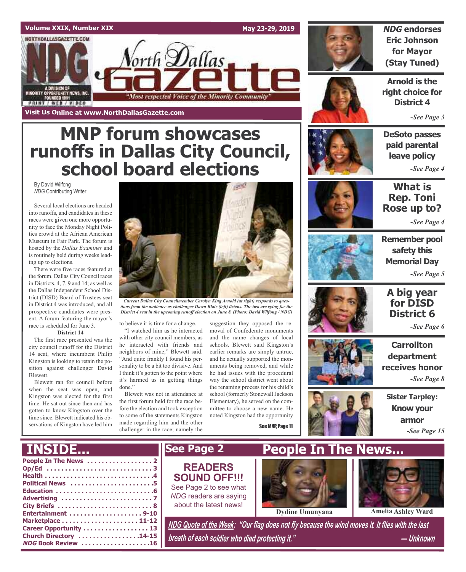### **Volume XXIX, Number XIX**

NORTHDALLASGAZETTE.COM

MINORITY OPPORTUNITY NEWS, INC.<br>FOUNDED 1991

**PRINT / WEB / VIDEO** 

**Visit Us Online at www.NorthDallasGazette.com**

**May 23-29, 2019**



**NDG endorses Eric Johnson for Mayor (Stay Tuned)**

**Arnold is the right choice for District 4**

*-See Page 3*

### **DeSoto passes paid parental leave policy** *-See Page 4*

**What is Rep. Toni Rose up to?**

*-See Page 4*



**Remember pool safety this Memorial Day** *-See Page 5*



*-See Page 6*

**Carrollton department receives honor** *-See Page 8*

**Sister Tarpley: Know your armor** *-See Page 15*

**MNP forum showcases runoffs in Dallas City Council, school board elections**

orth **D**allas

"Most respected Voice of the Minority Community

By David Wilfong *NDG* Contributing Writer

Several local elections are headed into runoffs, and candidates in these races were given one more opportunity to face the Monday Night Politics crowd at the African American Museum in Fair Park. The forum is hosted by the *Dallas Examiner* and is routinely held during weeks leading up to elections.

There were five races featured at the forum. Dallas City Council races in Districts, 4, 7, 9 and 14; as well as the Dallas Independent School District (DISD) Board of Trustees seat in District 4 was introduced, and all prospective candidates were present. A forum featuring the mayor's race is scheduled for June 3.

#### **District 14**

The first race presented was the city council runoff for the District 14 seat, where incumbent Philip Kingston is looking to retain the position against challenger David Blewett.

Blewett ran for council before when the seat was open, and Kingston was elected for the first time. He sat out since then and has gotten to know Kingston over the time since. Blewett indicated his observations of Kingston have led him

**Church Directory . . . . . . . . . . . . . . . . .14-15 NDG Book Review . . . . . . . . . . . . . . . . . . .16**



*tions from the audience as challenger Dawn Blair (left) listens. The two are vying for the District 4 seat in the upcoming runoff election on June 8. (Photo: David Wilfong / NDG)*

to believe it is time for a change.

"I watched him as he interacted with other city council members, as he interacted with friends and neighbors of mine," Blewett said. "And quite frankly I found his personality to be a bit too divisive. And I think it's gotten to the point where it's harmed us in getting things done."

Blewett was not in attendance at the first forum held for the race before the election and took exception to some of the statements Kingston made regarding him and the other challenger in the race; namely the

suggestion they opposed the removal of Confederate monuments and the name changes of local schools. Blewett said Kingston's earlier remarks are simply untrue, and he actually supported the monuments being removed, and while he had issues with the procedural way the school district went about the renaming process for his child's school (formerly Stonewall Jackson Elementary), he served on the committee to choose a new name. He noted Kingston had the opportunity

See MNP, Page 11



**People In The News . . . . . . . . . . . . . . . . . . 2 Op/Ed . . . . . . . . . . . . . . . . . . . . . . . . . . . . . 3 Health . . . . . . . . . . . . . . . . . . . . . . . . . . . . . .4 Political News . . . . . . . . . . . . . . . . . . . . . . .5 Education . . . . . . . . . . . . . . . . . . . . . . . . . . .6 Advertising . . . . . . . . . . . . . . . . . . . . . . . . . 7 City Briefs . . . . . . . . . . . . . . . . . . . . . . . . . . 8 Entertainment . . . . . . . . . . . . . . . . . . . . 9-10 Marketplace . . . . . . . . . . . . . . . . . . . . . 11-12 Career Opportunity . . . . . . . . . . . . . . . . . . 13** NDG Quote of the Week: "Our flag does not fly because the wind moves it. It flies with the last **INSIDE... See Page 2 People In The News... Dydine Umunyana Amelia Ashley Ward READERS SOUND OFF!!!** See Page 2 to see what *NDG* readers are saying about the latest news!

*breath of each soldier who died protecting it." — Unknown*







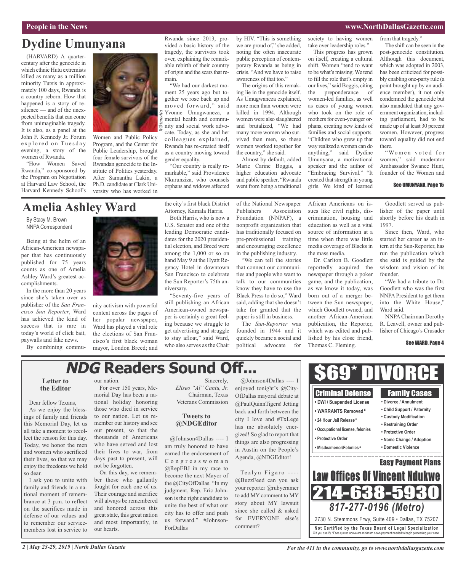### **People in the News www.NorthDallasGazette.com**

## **Dydine Umunyana**

(HARVARD) A quartercentury after the genocide in which ethnic Hutu extremists killed as many as a million minority Tutsis in approximately 100 days, Rwanda is a country reborn. How that happened is a story of resilience — and of the unexpected benefits that can come from unimaginable tragedy. It is also, as a panel at the John F. Kennedy Jr. Forum explored on Tuesday evening, a story of the women of Rwanda.

"How Women Saved Rwanda," co-sponsored by the Program on Negotiation at Harvard Law School, the Harvard Kennedy School's



Women and Public Policy Program, and the Center for Public Leadership, brought four female survivors of the Rwandan genocide to the Institute of Politics yesterday. After Samantha Lakin, a Ph.D. candidate at Clark University who has worked in

#### Rwanda since 2013, provided a basic history of the tragedy, the survivors took over, explaining the remarkable rebirth of their country of origin and the scars that remain.

"We had our darkest moment 25 years ago but together we rose back up and moved forward," said Yvonne Umugwaneza, a mental health and community and social work advocate. Today, as she and her colleagues explained, Rwanda has re-created itself as a country moving toward gender equality.

*Wikimedia*

"Our country is really remarkable," said Providence Nkurunziza, who counsels orphans and widows affected by HIV. "This is something we are proud of," she added, noting the often inaccurate public perception of contemporary Rwanda as being in crisis. "And we have to raise awareness of that too."

The origins of this remaking lie in the genocide itself. As Umugwaneza explained, more men than women were killed in 1994. Although women were also slaughtered and brutalized, "We had many more women who survived than men, so these women worked together for the country," she said.

Almost by default, added Marie Carine Boggis, a higher education advocate and public speaker, "Rwanda went from being a traditional

society to having women take over leadership roles."

This progress has grown on itself, creating a cultural shift. Women "tend to want to be what's missing.We tend to fill the role that's empty in our lives," said Boggis, citing the preponderance of women-led families, as well as cases of young women who took on the role of mothers for even-younger orphans, creating new kinds of families and social supports. "Children who grew up that way realized a woman can do anything," said Dydine Umunyana, a motivational speaker and the author of "Embracing Survival." "It created that strength in young girls. We kind of learned

from that tragedy."

The shift can be seen in the post-genocide constitution. Although this document, which was adopted in 2003, has been criticized for possibly enabling one-party rule (a point brought up by an audience member), it not only condemned the genocide but also mandated that any government organization, including parliament, had to be made up of at least 30 percent women. However, progress toward equality did not end there.

"Women voted for women," said moderator Ambassador Swanee Hunt, founder of the Women and

### See UMUNYANA, Page 15

## **Amelia Ashley Ward**

By Stacy M. Brown NNPA Correspondent

Being at the helm of an African-American newspaper that has continuously published for 75 years counts as one of Amelia Ashley Ward's greatest accomplishments.

In the more than 20 years since she's taken over as publisher of the *San Francisco Sun Reporter*, Ward has achieved the kind of success that is rare in today's world of click bait, paywalls and fake news.

By combining commu-



nity activism with powerful content across the pages of her popular newspaper, Ward has played a vital role the elections of San Francisco's first black woman mayor, London Breed; and the city's first black District Attorney, Kamala Harris.

Both Harris, who is now a U.S. Senator and one of the leading Democratic candidates for the 2020 presidential election, and Breed were among the 1,000 or so on hand May 9 at the Hyatt Regency Hotel in downtown San Francisco to celebrate the Sun Reporter's 75th anniversary.

"Seventy-five years of still publishing an African American-owned newspaper is certainly a great feeling because we struggle to get advertising and struggle to stay afloat," said Ward, who also serves as the Chair

of the National Newspaper Publishers Association Foundation (NNPAF), a nonprofit organization that has traditionally focused on pre-professional training and encouraging excellence in the publishing industry.

"We can tell the stories that connect our communities and people who want to talk to our communities know they have to use the Black Press to do so," Ward said, adding that she doesn't take for granted that the paper is still in business.

The *Sun-Reporter* was founded in 1944 and it quickly became a social and political advocate for African Americans on issues like civil rights, discrimination, housing and education as well as a vital source of information at a time when there was little media coverage of Blacks in the mass media.

Dr. Carlton B. Goodlett reportedly acquired the newspaper through a poker game, and the publication, as we know it today, was born out of a merger between the Sun newspaper, which Goodlett owned, and another African-American publication, the Reporter, which was edited and published by his close friend, Thomas C. Fleming.

Goodlett served as publisher of the paper until shortly before his death in 1997.

Since then, Ward, who started her career as an intern at the Sun-Reporter, has run the publication which she said is guided by the wisdom and vision of its founder.

"We had a tribute to Dr. Goodlett who was the first NNPA President to get them into the White House," Ward said.

NNPAChairman Dorothy R. Leavell, owner and publisher of Chicago's Crusader

#### See WARD, Page 4

## **NDG Readers Sound Off...**

### **Letter to the Editor**

Dear fellow Texans, As we enjoy the blessings of family and friends this Memorial Day, let us all take a moment to recollect the reason for this day. Today, we honor the men and women who sacrificed their lives, so that we may enjoy the freedoms we hold so dear.

I ask you to unite with family and friends in a national moment of remembrance at 3 p.m. to reflect on the sacrifices made in defense of our values and to remember our servicemembers lost in service to

our nation.

For over 150 years, Memorial Day has been a national holiday honoring those who died in service to our nation. Let us remember our history and see our present, so that the thousands of Americans who have served and lost their lives to war, from days past to present, will not be forgotten.

On this day, we remember those who gallantly fought for each one of us. Their courage and sacrifice will always be remembered and honored across this great state, this great nation and most importantly, in our hearts.

Sincerely, *Eliseo "Al" Cantu, Jr.* Chairman, Texas Veterans Commission

### **Tweets to @NDGEditor**

@Johnson4Dallas ---- I am truly honored to have earned the endorsement of C o n g r e s s w o m a n @RepEBJ in my race to become the next Mayor of the @CityOfDallas. "In my judgment, Rep. Eric Johnson is the right candidate to unite the best of what our city has to offer and push us forward." #Johnson-ForDallas

@Johnson4Dallas ---- I enjoyed tonight's @City-OfDallas mayoral debate at @PaulQuinnTigers! Jetting back and forth between the city I love and #TxLege has me absolutely energized! So glad to report that things are also progressing in Austin on the People's Agenda, @NDGEditor!

Tezlyn Figaro ----@BuzzFeed can you ask your reporter @rubycramer to add MY comment to MY story about MY lawsuit since she called & asked for EVERYONE else's comment?

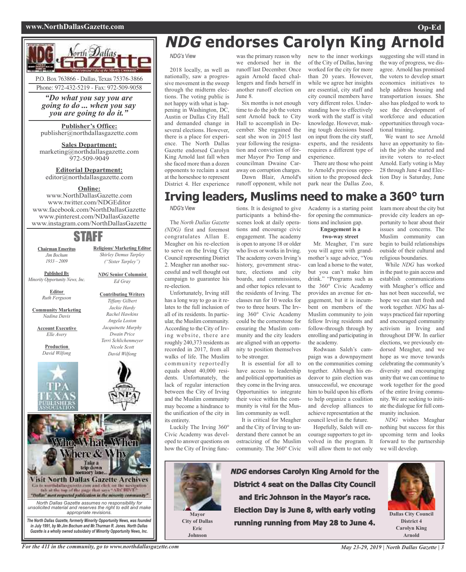### **www.NorthDallasGazette.com Op-Ed**



**Publisher's Office:** publisher@northdallasgazette.com

**Sales Department:** marketing@northdallasgazette.com 972-509-9049

**Editorial Department:** editor@northdallasgazette.com

### **Online:**

www.NorthDallasGazette.com www.twitter.com/NDGEditor www.facebook.com/NorthDallasGazette www.pinterest.com/NDallasGazette www.instagram.com/NorthDallasGazette

### STAFF

**Religious/ Marketing Editor** *Shirley Demus Tarpley ("Sister Tarpley")*

*NDG* **Senior Columnist** *Ed Gray*

**Contributing Writers** *Tiffany Gilbert Jackie Hardy Rachel Hawkins Angela Loston Jacquinette Murphy Dwain Price Terri Schlichenmeyer Nicole Scott David Wilfong*

**Chairman Emeritus** *Jim Bochum 1933 – 2009*

**Published By** *Minority Opportunity News, Inc.*

> **Editor** *Ruth Ferguson*

**Community Marketing** *Nadina Davis*

**Account Executive** *Elle Avery*

> **Production** *David Wilfong*





*Gazette is a wholly owned subsidairy of Minority Opportunity News, Inc.*

# **NDG endorses Carolyn King Arnold**

*NDG's* View

2018 locally, as well as nationally, saw a progressive movement in the sweep through the midterm elections. The voting public is not happy with what is happening in Washington, DC, Austin or Dallas City Hall and demanded change in several elections. However, there is a place for experience. The North Dallas Gazette endorsed Carolyn King Arnold last fall when she faced more than a dozen opponents to reclaim a seat at the horseshoe to represent District 4. Her experience

was the primary reason why we endorsed her in the runoff last December. Once again Arnold faced challengers and finds herself in another runoff election on June 8.

Six months is not enough time to do the job the voters sent Arnold back to City Hall to accomplish in December. She regained the seat she won in 2015 last year following the resignation and conviction of former Mayor Pro Temp and councilman Dwaine Caraway on corruption charges.

Dawn Blair, Arnold's runoff opponent, while not of the City of Dallas, having worked for the city for more than 20 years. However, while we agree her insights are essential, city staff and city council members have very different roles. Understanding how to effectively work with the staff is vital knowledge. However, making tough decisions based on input from the city staff, experts, and the residents requires a different type of experience.

new to the inner workings

There are those who point to Arnold's previous opposition to the proposed deck park near the Dallas Zoo,

for opening the communications and inclusion gap. **Engagement is a two-way street** Mr. Meagher, I'm sure

suggesting she will stand in the way of progress, we disagree. Arnold has promised the voters to develop smart economics initiatives to help address housing and transportation issues. She also has pledged to work to see the development of workforce and education opportunities through vocational training.

We want to see Arnold have an opportunity to finish the job she started and invite voters to re-elect Arnold. Early voting is May 28 through June 4 and Election Day is Saturday, June 8.

#### tions. It is designed to give Academy is a starting point **Irving leaders, Muslims need to make a 360° turn**

*NDG's* View

The *North Dallas Gazette (NDG)* first and foremost congratulates Allan E. Meagher on his re-election to serve on the Irving City Council representing District 2. Meagher ran another successful and well thought out campaign to guarantee his re-election.

Unfortunately, Irving still has a long way to go as it relates to the full inclusion of all of its residents. In particular, the Muslim community. According to the City of Irving website, there are roughly 240,373 residents as recorded in 2017, from all walks of life. The Muslim community reportedly equals about 40,000 residents. Unfortunately, the lack of regular interaction between the City of Irving and the Muslim community may become a hindrance to the unification of the city in its entirety.

Luckily The Irving 360° Civic Academy was developed to answer questions on how the City of Irving funcparticipants a behind-thescenes look at daily operations and encourage civic engagement. The academy is open to anyone 18 or older who lives or works in Irving. The academy covers Irving's history, government structure, elections and city boards, and commissions, and other topics relevant to the residents of Irving. The classes run for 10 weeks for two to three hours. The Irving 360° Civic Academy could be the cornerstone for ensuring the Muslim community and the city leaders are aligned with an opportunity to position themselves to be stronger.

It is essential for all to have access to leadership and political opportunities as they come in the Irving area. Opportunities to integrate their voice within the community is vital for the Muslim community as well.

It is critical for Meagher and the City of Irving to understand there cannot be an ostracizing of the Muslim community. The 360° Civic

you will agree with grandmother's sage advice, "You can lead a horse to the water, but you can't make him drink." "Programs such as the 360° Civic Academy provides an avenue for engagement, but it is incumbent on members of the Muslim community to join fellow Irving residents and follow-through through by enrolling and participating in the academy.

Rodwaan Saleh's campaign was a downpayment on the communities coming together. Although his endeavor to gain election was unsuccessful, we encourage him to build upon his efforts to help organize a coalition and develop alliances to achieve representation at the council level in the future.

Hopefully, Saleh will encourage supporters to get involved in the program. It will allow them to not only

learn more about the city but provide city leaders an opportunity to hear about their issues and concerns. The Muslim community can begin to build relationships outside of their cultural and religious boundaries. While *NDG* has worked

in the past to gain access and establish communications with Meagher's office and has not been successful, we hope we can start fresh and work together. *NDG* has always practiced fair reporting and encouraged community activism in Irving and throughout DFW. In earlier elections, we previously endorsed Meagher, and we hope as we move towards celebrating the community's diversity and encouraging unity that we can continue to work together for the good of the entire Irving community. We are seeking to initiate the dialogue for full community inclusion.

*NDG* wishes Meaghar nothing but success for this upcoming term and looks forward to the partnership we will develop.



**Eric Johnson** **NDG endorses Carolyn King Arnold for the District 4 seat on the Dallas City Council and Eric Johnson in the Mayor's race. Election Day is June 8, with early voting running running from May 28 to June 4.**



**Dallas City Council District 4 Carolyn King Arnold**

For the 411 in the community, go to www.northdallasgazette.com May 23-29, 2019 | North Dallas Gazette | 3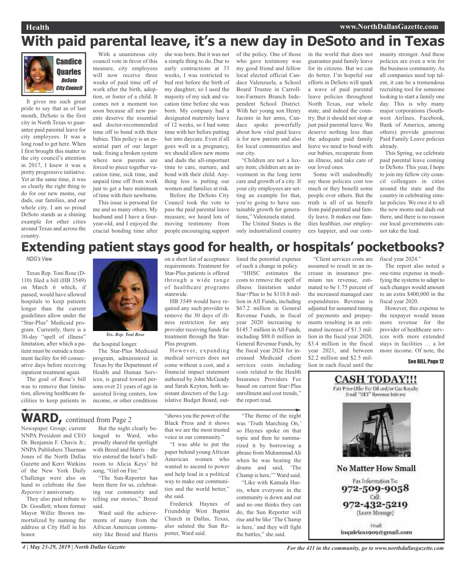## **With paid parental leave, it's a new day in DeSoto and in Texas**



It gives me such great pride to say that as of last month, DeSoto is the first city in North Texas to guarantee paid parental leave for city employees. It was a long road to get here. When I first brought this matter to the city council's attention in 2017, I knew it was a pretty progressive initiative. Yet at the same time, it was so clearly the right thing to do for our new moms, our dads, our families, and our whole city. I am so proud DeSoto stands as a shining example for other cities around Texas and across the country.

With a unanimous city council vote in favor of this measure, city employees will now receive three weeks of paid time off of work after the birth, adoption, or foster of a child. It comes not a moment too soon because all new parents deserve the essential and doctor-recommended time off to bond with their babies. This policy is an essential part of our larger task: fixing a broken system where new parents are forced to piece together vacation time, sick time, and unpaid time off from work just to get a bare minimum of time with their newborns.

This issue is personal for me and so many others. My husband and I have a fouryear-old, and I enjoyed the crucial bonding time after

she was born. But it was not a simple thing to do. Due to early contractions at 33 weeks, I was restricted to bed rest before the birth of my daughter, so I used the majority of my sick and vacation time before she was born. My company had a designated maternity leave of 12 weeks, so I had some time with her before putting her into daycare. Even if all goes well in a pregnancy, we should allow new moms and dads the all-important time to care, nurture, and bond with their child. Anything less is putting our women and families at risk.

Before the DeSoto City Council took the vote to pass the paid parental leave measure, we heard lots of moving testimony from people encouraging support of the policy. One of those who gave testimony was my good friend and fellow local elected official Candace Valenzuela, a School Board Trustee in Carrollton-Farmers Branch Independent School District. With her young son Henry Jacinto in her arms, Candace spoke powerfully about how vital paid leave is for new parents and also for local communities and our city. "Children are not a lux-

ury item; children are an investment in the long term care and growth of a city. If your city employees are setting an example for that, you're going to have sustainable growth for generations," Valenzuela stated.

The United States is the only industrialized country

in the world that does not guarantee paid family leave for its citizens. But we can do better. I'm hopeful our efforts in DeSoto will spark a wave of paid parental leave policies throughout North Texas, our whole state, and indeed the country. But it should not stop at just paid parental leave. We deserve nothing less than the adequate paid family leave we need to bond with our babies, recuperate from an illness, and take care of our loved ones.

Some will undoubtedly say these policies cost too much or they benefit some people over others. But the truth is all of us benefit from paid parental and family leave. It makes our families healthier, our employees happier, and our community stronger. And these policies are even a win for the business community. As all companies need top talent, it can be a tremendous recruiting tool for someone looking to start a family one day. This is why many major corporations (Southwest Airlines, Facebook, Bank of America, among others) provide generous Paid Family Leave policies already.

This Spring, we celebrate paid parental leave coming to DeSoto. This year, I hope to join my fellow city council colleagues in cities around the state and the country in celebrating similar policies. We owe it to all the new moms and dads out there, and there is no reason our local governments cannot take the lead.

## **Extending patient stays good for health, or hospitals' pocketbooks?**

### *NDG's* View

Texas Rep. Toni Rose (D-110) filed a bill (HB 3549) on March 6 which, if passed, would have allowed hospitals to keep patients longer than the current guidelines allow under the "Star-Plus" Medicaid program. Currently, there is a 30-day "spell of illness" limitation, after which a patient must be outside a treatment facility for 60 consecutive days before receiving inpatient treatment again.

The goal of Rose's bill was to remove that limitation, allowing healthcare facilities to keep patients in



the hospital longer.

The Star-Plus Medicaid program, administered in Texas by the Department of Health and Human Services, is geared toward persons over 21 years of age in assisted living centers, low income, or other conditions on a short list of acceptance requirements. Treatment for Star-Plus patients is offered through a wide range of healthcare programs statewide.

HB 3549 would have required any such provider to remove the 30 days of illness restriction for any provider receiving funds for treatment through the Star-Plus program.

However, expanding medical services does not come without a cost, and a financial impact statement authored by John McGeady and Sarah Keyton, both assistant directors of the Legislative Budget Board, outlined the potential expense of such a change in policy.

"HHSC estimates the costs to remove the spell of illness limitation under Star+Plus to be \$110.8 million in All Funds, including \$67.2 million in General Revenue Funds, in fiscal year 2020 increasing to \$145.7 million in All Funds, including \$88.0 million in General Revenue Funds, by the fiscal year 2024 for increased Medicaid client services costs including costs related to the Health Insurance Providers Fee based on current Star+Plus enrollment and cost trends," the report read.

"Client services costs are assumed to result in an increase in insurance premium tax revenue, estimated to be 1.75 percent of the increased managed care expenditures. Revenue is adjusted for assumed timing of payments and prepayments resulting in an estimated increase of \$1.3 million in the fiscal year 2020, \$3.4 million in the fiscal year 2021, and between \$2.2 million and \$2.5 million in each fiscal until the

fiscal year 2024."

The report also noted a one-time expense in modifying the systems to adapt to such changes would amount to an extra \$400,000 in the fiscal year 2020.

However, this expense to the taxpayer would mean more revenue for the provider of healthcare services with more extended stays in facilities … a lot more income. Of note, the

See BILL, Page 12



inquiries1909@gmail.com

**WARD,** continued from Page <sup>2</sup>

Newspaper Group; current NNPA President and CEO Dr. Benjamin F. Chavis Jr.; NNPA Publishers Thurman Jones of the North Dallas Gazette and Kerri Watkins of the New York Daily Challenge were also on hand to celebrate the *Sun Reporter's* anniversary.

They also paid tribute to Dr. Goodlett, whom former Mayor Willie Brown immortalized by naming the address at City Hall in his honor.

But the night clearly belonged to Ward, who proudly shared the spotlight with Breed and Harris – the trio entered the hotel's ballroom to Alicia Keys' hit song, "Girl on Fire."

"The Sun-Reporter has been there for us, celebrating our community and telling our stories," Breed said.

Ward said the achievements of many from the African American community like Breed and Harris

"shows you the power of the Black Press and it shows that we are the most trusted voice in our community."

"I was able to put the paper behind young African American women who wanted to ascend to power and help lead in a political way to make our communities and the world better," she said.

Frederick Haynes of Friendship West Baptist Church in Dallas, Texas, also saluted the Sun Reporter, Ward said.

"The theme of the night was 'Truth Marching On,' so Haynes spoke on that topic and then he summarized it by borrowing a phrase from MuhammadAli when he was beating the drums and said, 'The Champ is here,'" Ward said. "Like with Kamala Har-

ris, when everyone in the community is down and out and no one thinks they can do, the Sun Reporter will rise and be like 'The Champ is here,' and they will fight the battles," she said.

4 | May 23-29, 2019 | North Dallas Gazette **For the 411** in the community, go to www.northdallasgazette.com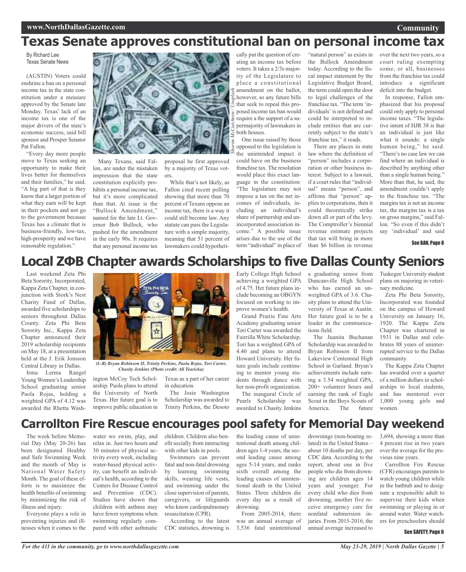### **Community**

## **Texas Senate approves constitutional ban on personal income tax**

By Richard Lee Texas Senate News

(AUSTIN) Voters could enshrine a ban on a personal income tax in the state constitution under a measure approved by the Senate late Monday. Texas' lack of an income tax is one of the major drivers of the state's economic success, said bill sponsor and Prosper Senator Pat Fallon.

"Every day more people move to Texas seeking an opportunity to make their lives better for themselves and their families," he said. "A big part of that is they know that a larger portion of what they earn will be kept in their pockets and not go to the government because Texas has a climate that is business-friendly, low-tax, high-prosperity and we have reasonable regulation."



Many Texans, said Fallon, are under the mistaken impression that the state constitution explicitly prohibits a personal income tax, but it's more complicated than that. At issue is the "Bullock Amendment," named for the late Lt. Governor Bob Bullock, who pushed for the amendment in the early 90s. It requires that any personal income tax

proposal be first approved by a majority of Texas voters.

While that's not likely, as Fallon cited recent polling showing that more than 70 percent of Texans oppose an income tax, there is a way it could still become law. Any statute can pass the Legislature with a simple majority, meaning that 51 percent of lawmakers could hypotheti-

cally put the question of creating an income tax before voters. It takes a 2/3s majority of the Legislature to place a constitutional amendment on the ballot, however, so any future bills that seek to repeal this proposed income tax ban would require a the support of a supermajority of lawmakers in both houses.

One issue raised by those opposed to the legislation is the unintended impact it could have on the business franchise tax. The resolution would place this exact language in the constitution: "The legislature may not impose a tax on the net incomes of individuals, including an individual's share of partnership and unincorporated association income." A possible issue arises due to the use of the term "individual" in place of

"natural person" as exists in the Bullock Amendment today. According to the fiscal impact statement by the Legislative Budget Board, the term could open the door to legal challenges of the franchise tax. "The term 'individuals' is not defined and could be interpreted to include entities that are currently subject to the state's franchise tax," it reads.

There are places in state law where the definition of "person" includes a corporation or other business interest. Subject to a lawsuit, if a court rules that "individual" means "person", and affirms that "person" applies to corporations, then it could theoretically strike down all or part of the levy. The Comptroller's biennial revenue estimate projects that tax will bring in more than \$6 billion in revenue

over the next two years, so a court ruling exempting some, or all, businesses from the franchise tax could introduce a significant deficit into the budget.

In response, Fallon emphasized that his proposal could only apply to personal income taxes. "The legislative intent of HJR 38 is that an individual is just like what it sounds: a single human being," he said. "There's no case law we can find where an individual is described by anything other than a single human being." More than that, he said, the amendment couldn't apply to the franchise tax. "The margins tax is not an income tax, the margins tax is a tax on gross margins," said Fallon. "So even if this didn't say 'individual' and said

### See BAN, Page 8

### **Local ΖΦΒ Chapter awards Scholarships to five Dallas County Seniors**

Last weekend Zeta Phi Beta Sorority, Incorporated, Kappa Zeta Chapter, in conjunction with Stork's Nest Charity Fund of Dallas, awarded five scholarships to seniors throughout Dallas County. Zeta Phi Beta Sorority Inc., Kappa Zeta Chapter announced their 2019 scholarship recipients on May 18, at a presentation held at the J. Erik Jonsson Central Library in Dallas.

Irma Lerma Rangel Young Women's Leadership School graduating senior Paola Rojas, holding a weighted GPA of 4.12 was awarded the Rhetta Wash-



*(L-R) Bryan Robinson II, Trinity Perkins, Paola Rojas, Tori Carter, Chasity Jenkins (Photo credit: All Tearicka)*

ington McCoy Tech Scholarship. Paola plans to attend the University of North Texas. Her future goal is to improve public education in

Early College High School achieving a weighted GPA of 4.75. Her future plans include becoming an OBGYN focused on working to improve women's health.

Grand Prairie Fine Arts Academy graduating senior Tori Carter was awarded the Fairrilla White Scholarship. Tori has a weighted GPA of 4.40 and plans to attend Howard University. Her future goals include continuing to mentor young students through dance with her non-profit organization.

The inaugural Circle of Pearls Scholarship was awarded to Chasity Jenkins

a graduating senior from Duncanville High School who has earned an unweighted GPA of 3.6. Chasity plans to attend the University of Texas at Austin. Her future goal is to be a leader in the communications field.

The Juanita Buchanan Scholarship was awarded to Bryan Robinson II from Lakeview Centennial High School in Garland. Bryan's achievements include earning a 3.54 weighted GPA, 200+ volunteer hours and earning the rank of Eagle Scout in the Boys Scouts of America. The future

Tuskegee University student plans on majoring in veterinary medicine.

Zeta Phi Beta Sorority, Incorporated was founded on the campus of Howard University on January 16, 1920. The Kappa Zeta Chapter was chartered in 1931 in Dallas and celebrates 88 years of uninterrupted service to the Dallas community.

The Kappa Zeta Chapter has awarded over a quarter of a million dollars in scholarships to local students, and has mentored over 1,000 young girls and women.

### **Carrollton Fire Rescue encourages pool safety for Memorial Day weekend**

The week before Memorial Day (May 20-26) has been designated Healthy and Safe Swimming Week and the month of May is National Water Safety Month. The goal of these efforts is to maximize the health benefits of swimming by minimizing the risk of illness and injury.

Everyone plays a role in preventing injuries and illnesses when it comes to the

water we swim, play, and relax in. Just two hours and 30 minutes of physical activity every week, including water-based physical activity, can benefit an individual's health, according to the Centers for Disease Control and Prevention (CDC). Studies have shown that children with asthma may have fewer symptoms when swimming regularly compared with other asthmatic

children. Children also benefit socially from interacting with other kids in pools.

Texas as a part of her career

The Josie Washington Scholarship was awarded to Trinity Perkins, the Desoto

in education.

Swimmers can prevent fatal and non-fatal drowning by learning swimming skills, wearing life vests, and swimming under the close supervision of parents, caregivers, or lifeguards who know cardiopulmonary resuscitation (CPR).

According to the latest CDC statistics, drowning is the leading cause of unintentional death among children ages 1-4 years, the second leading cause among ages 5-14 years, and ranks sixth overall among the leading causes of unintentional death in the United States. Three children die every day as a result of drowning.

From 2005-2014, there was an annual average of 3,536 fatal unintentional drownings (non-boating related) in the United States – about 10 deaths per day, per CDC data. According to the report, about one in five people who die from drowning are children ages 14 years and younger. For every child who dies from drowning, another five receive emergency care for nonfatal submersion injuries. From 2015-2016, the annual average increased to

3,694, showing a more than 4 percent rise in two years over the average for the previous nine years.

Carrollton Fire Rescue (CFR) encourages parents to watch young children while in the bathtub and to designate a responsible adult to supervise their kids when swimming or playing in or around water. Water watchers for preschoolers should

#### See SAFETY, Page 6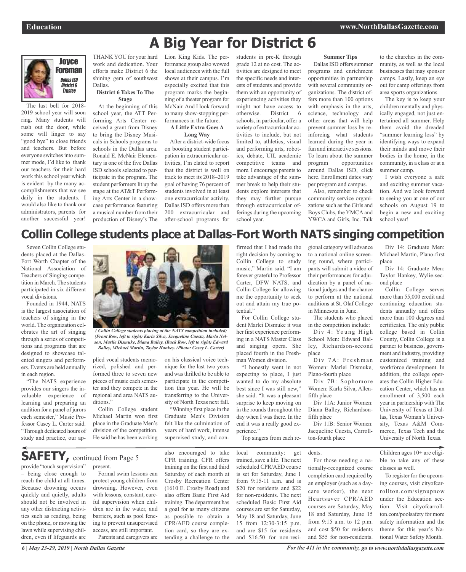

The last bell for 2018- 2019 school year will soon ring. Many students will rush out the door, while some will linger to say "good bye" to close friends and teachers. But before everyone switches into summer mode, I'd like to thank our teachers for their hard work this school year which is evident by the many accomplishments that we see daily in the students. I would also like to thank our administrators, parents for another successful year!

THANK YOU for your hard work and dedication. Your efforts make District 6 the shining gem of southwest Dallas.

### **District 6 Takes To The Stage**

At the beginning of this school year, the ATT Performing Arts Center received a grant from Disney to bring the Disney Musicals in Schools programs to schools in the Dallas area. Ronald E. McNair Elementary is one of the five Dallas ISD schools selected to participate in the program. The student performers lit up the stage at the AT&T Performing Arts Center in a showcase performance featuring a musical number from their production of Disney's The

Lion King Kids. The performance group also wowed local audiences with the full shows at their campus. I'm especially excited that this program marks the beginning of a theater program for McNair. And I look forward to many show-stopping performances in the future.

### **A Little Extra Goes A Long Way**

After a district-wide focus on boosting student participation in extracurricular activities, I'm elated to report that the district is well on track to meet its 2018–2019 goal of having 76 percent of students involved in at least one extracurricular activity. Dallas ISD offers more than 200 extracurricular and after-school programs for

students in pre-K through grade 12 at no cost. The activities are designed to meet the specific needs and interests of students and provide them with an opportunity of experiencing activities they might not have access to otherwise. District 6 schools, in particular, offer a variety of extracurricular activities to include, but not limited to, athletics, visual and performing arts, robotics, debate, UIL academic competitive teams and more. I encourage parents to take advantage of the summer break to help their students explore interests that they may further pursue through extracurricular offerings during the upcoming school year.

### **Summer Tips**

Dallas ISD offers summer programs and enrichment opportunities in partnership with several community organizations. The district offers more than 100 options with emphasis in the arts, science, technology and other areas that will help prevent summer loss by reinforcing what students learned during the year in fun and interactive sessions. To learn about the summer program opportunities around Dallas ISD, click here. Enrollment dates vary per program and campus.

Also, remember to check community service organizations such as the Girls and Boys Clubs, the YMCA and YWCA and Girls, Inc. Talk

to the churches in the community, as well as the local businesses that may sponsor camps. Lastly, keep an eye out for camp offerings from area sports organizations.

The key is to keep your children mentally and physically engaged, not just entertained all summer. Help them avoid the dreaded "summer learning loss" by identifying ways to expand their minds and move their bodies in the home, in the community, in a class or at a summer camp.

I wish everyone a safe and exciting summer vacation. And we look forward to seeing you at one of our schools on August 19 to begin a new and exciting school year!

## **Collin College students place at Dallas-Fort Worth NATS singing competition**

**A Big Year for District 6**

Seven Collin College students placed at the Dallas-Fort Worth Chapter of the National Association of Teachers of Singing competition in March. The students participated in six different vocal divisions.

Founded in 1944, NATS is the largest association of teachers of singing in the world. The organization celebrates the art of singing through a series of competitions and programs that are designed to showcase talented singers and performers. Events are held annually in each region.

"The NATS experience provides our singers the invaluable experience of learning and preparing an audition for a panel of jurors each semester," Music Professor Casey L. Carter said. "Through dedicated hours of study and practice, our ap-

reach the child at all times. Because drowning occurs quickly and quietly, adults should not be involved in any other distracting activities such as reading, being on the phone, or mowing the lawn while supervising children, even if lifeguards are



*(Front Row, left to right) Karla Silva, Jacqueline Cuesta, Marla Nelson, Marlie Dismuke, Diana Balley, (Back Row, left to right) Edward Balley, Michael Martin, Taylor Hankey. (Photo: Casey L. Carter)*

plied vocal students memorized, polished and performed three to seven new pieces of music each semester and they compete in the regional and area NATS auditions."

Collin College student Michael Martin won first place in the Graduate Men's division of the competition. He said he has been working

on his classical voice technique for the last two years and wasthrilled to be able to participate in the competition this year. He will be transferring to the University of North Texas next fall.

"Winning first place in the Graduate Men's Division felt like the culmination of years of hard work, intense supervised study, and confirmed that I had made the right decision by coming to Collin College to study music," Martin said. "I am forever grateful to Professor Carter, DFW NATS, and Collin College for allowing me the opportunity to seek out and attain my true potential."

For Collin College student Marlei Dismuke it was her first experience performing in a NATS Master Class and singing opera. She placed fourth in the Freshman Women division.

"I honestly went in not expecting to place, I just wanted to do my absolute best since I was still new," she said. "It was a pleasant surprise to keep moving on in the rounds throughout the day when I was there. In the end it was a really good experience."

Top singers from each re-

gional category will advance to a national online screening round, where participants will submit a video of their performances for adjudication by a panel of national judges and the chance to perform at the national auditions at St. Olaf College in Minnesota in June.

The students who placed in the competition include:

Div 4: Young High School Men: Edward Balley, Richardson-second place

Div 7A: Freshman Women: Marlei Dismuke, Plano-fourth place

Div 7B: Sophomore Women: Karla Silva, Allenfifth place

Div 11A: Junior Women: Diana Balley, Richardsonfifth place

Div 11B: Senior Women: Jacqueline Cuesta, Carrollton-fourth place

dents.

For those needing a nationally-recognized course completion card required by an employer (such as a daycare worker), the next Heartsaver CPR/AED courses are Saturday, May 18 and Saturday, June 15 from 9:15 a.m. to 12 p.m. and cost \$50 for residents and \$55 for non-residents.

Div 14: Graduate Men: Michael Martin, Plano-first place

Div 14: Graduate Men: Taylor Hankey, Wylie-second place

Collin College serves more than 55,000 credit and continuing education students annually and offers more than 100 degrees and certificates. The only public college based in Collin County, Collin College is a partner to business, government and industry, providing customized training and workforce development. In addition, the college operates the Collin Higher Education Center, which has an enrollment of 3,500 each year in partnership with The University of Texas at Dallas, Texas Woman's University, Texas A&M Commerce, Texas Tech and the University of North Texas.

Children ages 10+ are eligible to take any of these classes as well.

To register for the upcoming courses, visit cityofcarrollton.com/signupnow under the Education section. Visit cityofcarrollton.com/poolsafety for more safety information and the theme for this year's National Water Safety Month.

provide "touch supervision" – being close enough to present. **SAFETY,** continued from Page <sup>5</sup>

Formal swim lessons can protect young children from drowning. However, even with lessons, constant, careful supervision when children are in the water, and barriers, such as pool fencing to prevent unsupervised access, are still important. Parents and caregivers are also encouraged to take CPR training. CFR offers training on the first and third Saturday of each month at Crosby Recreation Center (1610 E. Crosby Road) and also offers Basic First Aid training. The department has a goal for as many citizens as possible to obtain a CPR/AED course completion card, so they are extending a challenge to the

local community: get trained, save a life. The next scheduled CPR/AED course is set for Saturday, June 1 from 9:15-11 a.m. and is \$20 for residents and \$22 for non-residents. The next scheduled Basic First Aid courses are set for Saturday, May 18 and Saturday, June 15 from 12:30-3:15 p.m. and are \$15 for residents and \$16.50 for non-resi-

*For the 411 in the community, go to www.northdallasgazette.com*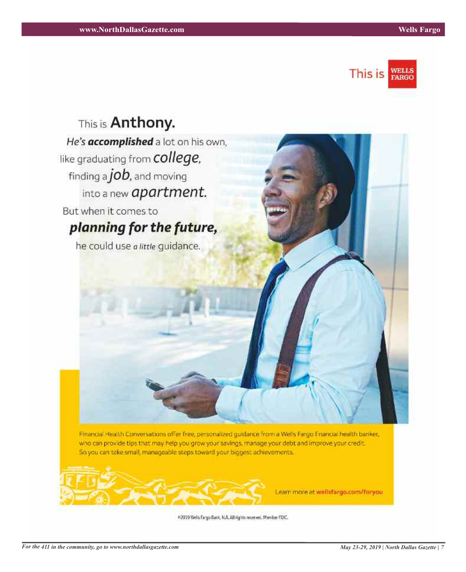



Financial Health Conversations offer free, personalized guidance from a Wells Fargo financial health banker. who can provide tips that may help you grow your savings, manage your debt and improve your credit. So you can take small, manageable steps toward your biggest achievements.



Learn more at wellsfargo.com/foryou

#2019 Wells Fargo Bank, N.A. All rights reserved. Member FOK.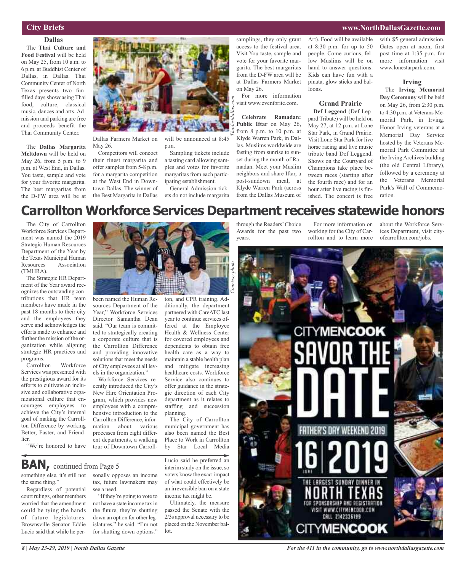### **City Briefs**

### **Dallas** The **Thai Culture and**

**Food Festival** will be held on May 25, from 10 a.m. to 6 p.m. at Buddhist Center of Dallas, in Dallas. Thai Community Center of North Texas presents two funfilled days showcasing Thai food, culture, classical music, dances and arts. Admission and parking are free and proceeds benefit the Thai Community Center.

The **Dallas Margarita Meltdown** will be held on May 26, from 5 p.m. to 9 p.m. at West End, in Dallas. You taste, sample and vote for your favorite margarita. The best margaritas from the D-FW area will be at



Dallas Farmers Market on May 26.

Competitors will concoct their finest margarita and offer samples from 5-8 p.m. for a margarita competition at the West End in Downtown Dallas. The winner of the Best Margarita in Dallas

will be announced at 8:45 p.m.

Sampling tickets include a tasting card allowing samples and votes for favorite margaritas from each participating establishment.

General Admission tickets do not include margarita

ditionally, the department partnered with CareATC last year to continue services offered at the Employee Health & Wellness Center for covered employees and dependents to obtain free health care as a way to maintain a stable health plan and mitigate increasing healthcare costs. Workforce samplings, they only grant access to the festival area. Visit You taste, sample and vote for your favorite margarita. The best margaritas from the D-FW area will be at Dallas Farmers Market on May 26.

For more information visit www.eventbrite.com.

**Celebrate Ramadan: Public Iftar** on May 26, from 8 p.m. to 10 p.m. at Klyde Warren Park, in Dallas. Muslims worldwide are fasting from sunrise to sunset during the month of Ramadan. Meet your Muslim neighbors and share Iftar, a post-sundown meal, at Klyde Warren Park (across from the Dallas Museum of

Art). Food will be available at 8:30 p.m. for up to 50 people. Come curious, fellow Muslims will be on hand to answer questions. Kids can have fun with a pinata, glow sticks and balloons.

### **Grand Prairie**

**Def Leggend** (Def Leppard Tribute) will be held on May 27, at 12 p.m. at Lone Star Park, in Grand Prairie. Visit Lone Star Park for live horse racing and live music tribute band Def Leggend. Shows on the Courtyard of Champions take place between races (starting after the fourth race) and for an hour after live racing is finished. The concert is free

with \$5 general admission. Gates open at noon, first post time at 1:35 p.m. for more information visit www.lonestarpark.com.

#### **Irving**

The **Irving Memorial Day Ceremony** will be held on May 26, from 2:30 p.m. to 4:30 p.m. at Veterans Memorial Park, in Irving. Honor Irving veterans at a Memorial Day Service hosted by the Veterans Memorial Park Committee at the Irving Archives building (the old Central Library), followed by a ceremony at the Veterans Memorial Park's Wall of Commemoration.

## **Carrollton Workforce Services Department receives statewide honors**

*Thaifestdallas.com*

The City of Carrollton Workforce Services Department was named the 2019 Strategic Human Resources Department of the Year by the Texas Municipal Human Resources Association (TMHRA).

The Strategic HR Department of the Year award recognizes the outstanding contributions that HR team members have made in the past 18 months to their city and the employees they serve and acknowledges the efforts made to enhance and further the mission of the organization while aligning strategic HR practices and

programs.<br>Carrollton Workforce Services was presented with the prestigious award for its efforts to cultivate an inclusive and collaborative organizational culture that encourages employees to achieve the City's internal goal of making the Carrollton Difference by working Better, Faster, and Friendlier.

"We're honored to have



sources Department of the Year," Workforce Services Director Samantha Dean said. "Our team is committed to strategically creating a corporate culture that is the Carrollton Difference and providing innovative solutions that meet the needs of City employees at all levels in the organization."

Workforce Services recently introduced the City's New Hire Orientation Program, which provides new employees with a comprehensive introduction to the Carrollton Difference, information about various processes from eight different departments, a walking tour of Downtown Carroll-

**BAN**, continued from Page 5

something else, it's still not the same thing."

Regardless of potential court rulings, other members worried that the amendment could be tying the hands of future legislatures. Brownsville Senator Eddie Lucio said that while he personally opposes an income tax, future lawmakers may see a need.

"If they're going to vote to not have a state income tax in the future, they're shutting down an option for other legislatures," he said. "I'm not for shutting down options."

Service also continues to offer guidance in the strategic direction of each City department as it relates to staffing and succession planning. The City of Carrollton municipal government has also been named the Best Place to Work in Carrollton<br>by Star Local Media Star Local Media Lucio said he preferred an

interim study on the issue, so voters know the exact impact of what could effectively be an irreversible ban on a state income tax might be.

Ultimately, the measure passed the Senate with the 2/3s approval necessary to be placed on the November bal-

lot.

through the Readers'Choice Awards for the past two years.

For more information on working for the City of Carrollton and to learn more

about the Workforce Services Department, visit cityofcarrollton.com/jobs.



*For the 411 in the community, go to www.northdallasgazette.com*

**www.NorthDallasGazette.com**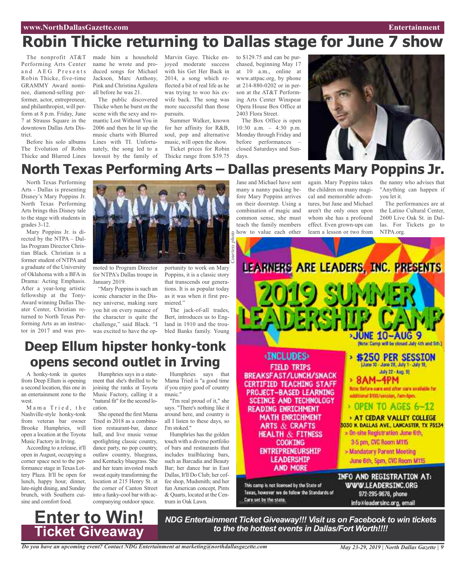### **www.NorthDallasGazette.com Entertainment**

# **Robin Thicke returning to Dallas stage for June 7 show**

The nonprofit AT&T Performing Arts Center and AEG Presents Robin Thicke, five-time GRAMMY Award nominee, diamond-selling performer, actor, entrepreneur, and philanthropist, will perform at 8 p.m. Friday, June 7 at Strauss Square in the downtown Dallas Arts District.

Before his solo albums The Evolution of Robin Thicke and Blurred Lines

made him a household name he wrote and produced songs for Michael Jackson, Marc Anthony, Pink and Christina Aguilera all before he was 21.

The public discovered Thicke when he burst on the scene with the sexy and romantic Lost Without You in 2006 and then he lit up the music charts with Blurred Lines with TI. Unfortunately, the song led to a lawsuit by the family of

Marvin Gaye. Thicke enjoyed moderate success with his Get Her Back in 2014, a song which reflected a bit of real life as he was trying to woo his exwife back. The song was more successful than those pursuits.

Summer Walker, known for her affinity for R&B, soul, pop and alternative music, will open the show. Ticket prices for Robin

Thicke range from \$39.75

to \$129.75 and can be purchased, beginning May 17 at 10 a.m., online at www.attpac.org, by phone at 214-880-0202 or in person at the AT&T Performing Arts Center Winspear Opera House Box Office at 2403 Flora Street.

The Box Office is open 10:30 a.m. – 4:30 p.m. Monday through Friday and before performances – closed Saturdays and Sundays.



## **North Texas Performing Arts – Dallas presents Mary Poppins Jr.**

*Courtesy*

North Texas Performing Arts - Dallas is presenting Disney's Mary Poppins Jr. North Texas Performing Arts brings this Disney tale to the stage with students in grades 3-12.

Mary Poppins Jr. is directed by the NTPA – Dallas Program Director Christian Black. Christian is a former student of NTPA and a graduate of the University of Oklahoma with a BFA in Drama: Acting Emphasis. After a year-long artistic fellowship at the Tony-Award winning Dallas Theater Center, Christian returned to North Texas Performing Arts as an instructor in 2017 and was pro-



moted to Program Director for NTPA's Dallas troupe in January 2019.

"Mary Poppins is such an iconic character in the Disney universe, making sure you hit on every nuance of the character is quite the challenge," said Black. "I was excited to have the opportunity to work on Mary Poppins, it is a classic story that transcends our generations. It is as popular today as it was when it first premiered."

The jack-of-all trades, Bert, introduces us to England in 1910 and the troubled Banks family. Young

### **Deep Ellum hipster honky-tonk opens second outlet in Irving**

A honky-tonk in quotes from Deep Ellum is opening a second location, this one in an entertainment zone to the west.

Mama Tried, the Nashville-style honky-tonk from veteran bar owner Brooke Humphries, will open a location at the Toyota Music Factory in Irving.

According to a release, it'll open in August, occupying a corner space next to the performance stage in Texas Lottery Plaza. It'll be open for lunch, happy hour, dinner, late-night dining, and Sunday brunch, with Southern cuisine and comfort food.

**Enter to Win!**

**Ticket Giveaway**

Humphries says in a statement that she's thrilled to be joining the ranks at Toyota Music Factory, calling it a "natural fit" for the second location.

She opened the first Mama Tried in 2018 as a combination restaurant-bar, dance hall, and live music venue spotlighting classic country, dance party, no pop country, outlaw country, bluegrass, and Kentucky bluegrass. She and her team invested much sweat equity transforming the location at 215 Henry St. at the corner of Canton Street into a funky-cool bar with accompanying outdoor space.

Humphries says that Mama Tried is "a good time if you enjoy good ol' country music."

"I'm real proud of it," she says. "There's nothing like it around here, and country is all I listen to these days, so I'm stoked."

Humphries has the golden touch with a diverse portfolio of bars and restaurants that includes trailblazing bars, such as Barcadia and Beauty Bar; her dance bar in East Dallas, It'll Do Club; her coffee shop, Mudsmith; and her fun American concept, Pints & Quarts, located at the Centrum in Oak Lawn.

Jane and Michael have sent many a nanny packing before Mary Poppins arrives on their doorstep. Using a combination of magic and common sense, she must teach the family members how to value each other *photo*

again. Mary Poppins takes the children on many magical and memorable adventures, but Jane and Michael aren't the only ones upon whom she has a profound effect. Even grown-ups can learn a lesson or two from

the nanny who advises that "Anything can happen if you let it.

The performances are at the Latino Cultural Center, 2600 Live Oak St. in Dallas. For Tickets go to NTPA.org.



*to the the hottest events in Dallas/Fort Worth!!!!*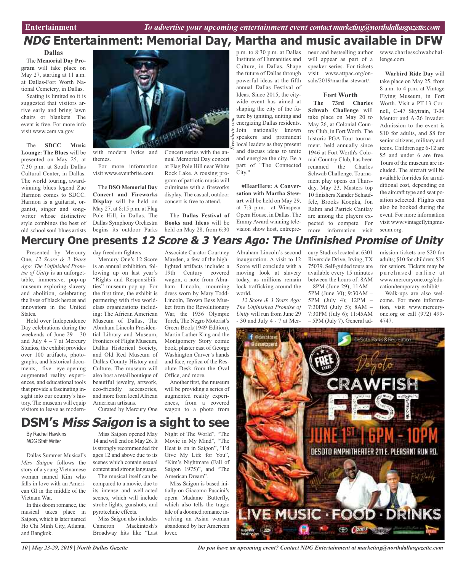### p.m. to 8:30 p.m. at Dallas **NDG Entertainment: Memorial Day, Martha and music available in DFW**

**Dallas**

The **Memorial Day Program** will take place on May 27, starting at 11 a.m. at Dallas-Fort Worth National Cemetery, in Dallas.

Seating is limited so it is suggested that visitors arrive early and bring lawn chairs or blankets. The event is free. For more info visit www.cem.va.gov.

The **SDCC Music Lounge: The Blues** will be presented on May 25, at 7:30 p.m. at South Dallas Cultural Center, in Dallas. The world touring, awardwinning blues legend Zac Harmon comes to SDCC. Harmon is a guitarist, organist, singer and songwriter whose distinctive style combines the best of old-school soul-blues artists



with modern lyrics and themes.

For more information visit www.eventbrite.com.

The **DSO Memorial Day Concert and Fireworks Display** will be held on May 27, at 8:15 p.m. at Flag Pole Hill, in Dallas. The Dallas Symphony Orchestra begins its outdoor Parks

Concert series with the annual Memorial Day concert at Flag Pole Hill near White Rock Lake. A rousing program of patriotic music will culminate with a fireworks display. The casual, outdoor concert is free to attend.

The **Dallas Festival of Books and Ideas** will be held on May 28, from 6:30

Institute of Humanities and Culture, in Dallas. Shape the future of Dallas through powerful ideas at the fifth annual Dallas Festival of Ideas. Since 2015, the citywide event has aimed at shaping the city of the future by igniting, uniting and energizing Dallas residents. Join nationally known speakers and prominent local leaders as they present and discuss ideas to unite and energize the city. Be a part of "The Connected City."

**#HearHere: A Conversation with Martha Stewart** will be held on May 29, at 7:3 p.m. at Winspear Opera House, in Dallas. The Emmy Award winning television show host, entrepreneur and bestselling author will appear as part of a speaker series. For tickets visit www.attpac.org/onsale/2019/martha-stewart/.

### **Fort Worth**

**The 73rd Charles Schwab Challenge** will take place on May 20 to May 26, at Colonial Country Club, in Fort Worth. The historic PGA Tour tournament, held annually since 1946 at Fort Worth's Colonial Country Club, has been renamed the Charles Schwab Challenge. Tournament play opens on Thursday, May 23. Masters top 10 finishers Xander Schauffele, Brooks Koepka, Jon Rahm and Patrick Cantlay are among the players expected to compete. For more information visit

www.charlesschwabchallenge.com.

**Warbird Ride Day** will take place on May 25, from 8 a.m. to 4 p.m. at Vintage Flying Museum, in Fort Worth. Visit a PT-13 Cornell, C-47 Skytrain, T-34 Mentor and A-26 Invader. Admission to the event is \$10 for adults, and \$8 for senior citizens, military and teens. Children age 6-12 are \$5 and under 6 are free. Tours of the museum are included. The aircraft will be available for rides for an additional cost, depending on the aircraft type and seat position selected. Flights can also be booked during the event. For more information visit www.vintageflyingmuseum.org.

### **Mercury One presents 12 Score & 3 Years Ago: The Unfinished Promise of Unity**

Presented by Mercury One, *12 Score & 3 Years Ago: The Unfinished Promise of Unity* is an unforgettable, immersive, pop-up museum exploring slavery and abolition, celebrating the lives of black heroes and innovators in the United **States** 

Held over Independence Day celebrations during the weekends of June 29 – 30 and July  $4 - 7$  at Mercury Studios, the exhibit provides over 100 artifacts, photographs, and historical documents, five eye-opening augmented reality experiences, and educational tools that provide a fascinating insight into our country's history. The museum will equip visitors to leave as modernMercury One's 12 Score

day freedom fighters.

is an annual exhibition, following up on last year's "Rights and Responsibilities" museum pop-up. For the first time, the exhibit is partnering with five worldclass organizations including: The African American Museum of Dallas, The Abraham Lincoln Presidential Library and Museum, Frontiers of Flight Museum, Dallas Historical Society, and Old Red Museum of Dallas County History and Culture. The museum will also host a retail boutique of beautiful jewelry, artwork, eco-friendly accessories, and more from localAfrican American artisans. Curated by Mercury One

Associate Curator Courtney Mayden, a few of the highlighted artifacts include: a 19th Century covered wagon, a note from Abraham Lincoln, mourning dress worn by Mary Todd-Lincoln, Brown Bess Musket from the Revolutionary War, the 1936 Olympic Torch, The Negro Motorist's Green Book(1949 Edition), Martin Luther King and the Montgomery Story comic book, plaster cast of George Washington Carver's hands and face, replica of the Resolute Desk from the Oval Office, and more.

Another first, the museum will be providing a series of augmented reality experiences, from a covered wagon to a photo from

Abraham Lincoln's second inauguration. A visit to 12 Score will conclude with a moving look at slavery today, as millions remain lock trafficking around the world.

*12 Score & 3 Years Ago: The Unfinished Promise of Unity* will run from June 29 - 30 and July 4 - 7 at Mercury Studios located at 6301 Riverside Drive, Irving, TX 75039. Self-guided tours are available every 15 minutes between the hours of: 8AM – 8PM (June 29); 11AM – 5PM (June 30); 9:30AM – 5PM (July 4); 12PM – 7:30PM (July 5); 8AM – 7:30PM (July 6); 11:45AM – 5PM (July 7). General ad-

mission tickets are \$20 for adults; \$10 for children; \$15 for seniors. Tickets may be pur chased online at www.mercuryone.org/education/temporary-exhibit/.

Walk-ups are also welcome. For more information, visit www.mercuryone.org or call (972) 499- 4747.



## **DSM's Miss Saigon is a sight to see**

By Rachel Hawkins *NDG* Staff Writer

Dallas Summer Musical's *Miss Saigon* follows the story of a young Vietnamese woman named Kim who falls in love with an American GI in the middle of the Vietnam War.

In this doom romance, the musical takes place in Saigon, which is later named Ho Chi Minh City, Atlanta, and Bangkok.

Miss Saigon opened May 14 and will end on May 26. It

is strongly recommended for ages 12 and above due to its scenes which contain sexual content and strong language.

The musical itself can be compared to a movie, due to its intense and well-acted scenes, which will include strobe lights, gunshots, and pyrotechnic effects.

Miss Saigon also includes Cameron Mackintosh's Broadway hits like "Last Night of The World", "The Movie in My Mind", "The Heat is on in Saigon", "I'd Give My Life for You", "Kim's Nightmare (Fall of Saigon 1975)", and "The American Dream".

Miss Saigon is based initially on Giacomo Puccini's opera Madame Butterfly, which also tells the tragic tale of a doomed romance involving an Asian woman abandoned by her American lover.

*Do you have an upcoming event? Contact NDG Entertainment at marketing@northdallasgazette.com*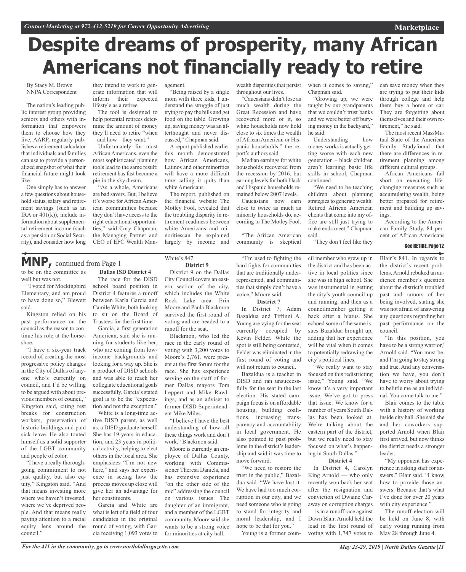# **Despite dreams of prosperity, many African Americans not financially ready to retire**

By Stacy M. Brown NNPA Correspondent

The nation's leading public interest group providing seniors and others with information that empowers them to choose how they live, AARP, regularly publishes a retirement calculator that individuals and families can use to provide a personalized snapshot of what their financial future might look like.

One simply has to answer a few questions about household status, salary and retirement savings (such as an IRA or 401(k)), include information about supplemental retirement income (such as a pension or Social Security), and consider how long

they intend to work to generate information that will inform their expected lifestyle as a retiree.

The tool is designed to help potential retirees determine the amount of money they'll need to retire "when – and how – they want."

Unfortunately for most AfricanAmericans, even the most sophisticated planning tools lead to the same result: retirement has fast become a pie-in-the-sky dream.

"As a whole, Americans are bad savers. But, I believe it's worse for African American communities because they don't have access to the right educational opportunities," said Cory Chapman, the Managing Partner and CEO of EFC Wealth Man-

#### agement.

"Being raised by a single mom with three kids, I understand the struggle of just trying to pay the bills and get food on the table. Growing up, saving money was an afterthought and never discussed," Chapman said.

A report published earlier this month demonstrated how African Americans, Latinos and other minorities will have a more difficult time calling it quits than white Americans.

The report, published on the financial website The Motley Fool, revealed that the troubling disparity in retirement readiness between white Americans and minoritiescan be explained largely by income and

wealth disparities that persist throughout our lives.

"Caucasians didn't lose as much wealth during the Great Recession and have recovered more of it, so white households now hold close to six times the wealth of African American or Hispanic households," the report's authors said.

Median earnings for white households recovered from the recession by 2016, but earning levels for both black and Hispanic households remained below 2007 levels.

Caucasians now earn close to twice as much as minority households do, according to The Motley Fool.

"The African American community is skeptical when it comes to saving," Chapman said.

"Growing up, we were taught by our grandparents that we couldn't trust banks and we were better off burying money in the backyard," he said.

Understanding how money works is actually getting worse with each new generation – black children aren't learning basic life skills in school, Chapman continued.

"We need to be teaching children about planning strategies to generate wealth. Retired African American clients that come into my office are still just trying to make ends meet," Chapman said.

"They don't feel like they

can save money when they are trying to put their kids through college and help them buy a home or car. They are forgetting about themselves and their own retirement," he said.

**Marketplace**

The most recent MassMutual State of the American Family Studyfound that there are differences in retirement planning among different cultural groups.

African Americans fall short on executing lifechanging measures such as accumulating wealth, being better prepared for retirement and building up savings.

According to the American Family Study, 84 percent of African Americans

#### See RETIRE, Page 12

**MNP,** continued from Page <sup>1</sup>

to be on the committee as well but was not.

"I voted for Mockingbird Elementary, and am proud to have done so," Blewett said.

Kingston relied on his past performance on the council as the reason to continue his role at the horseshoe.

"I have a six-year track record of creating the most progressive policy changes in the City of Dallas of anyone who's currently on council, and I'd be willing to be argued with about previous members of council," Kingston said, citing rest breaks for construction workers, preservation of historic buildings and paid sick leave. He also touted himself as a solid supporter of the LGBT community and people of color.

"I have a really thoroughgoing commitment to not just quality, but also equity," Kingston said. "And that means investing more where we haven't invested, where we've deprived people. And that means really paying attention to a racial equity lens around the council."

The race for the DISD school board position in District 4 features a runoff between Karla Garcia and Camile White, both looking to sit on the Board of Trustees for the first time.

**Dallas ISD District 4**

Garcia, a first-generation American, said she is running for students like her; who are coming from lowincome backgrounds and looking for a way up. She is a product of DISD schools and was able to reach her collegiate educational goals successfully. Garcia's stated goal is to be the "expectation and not the exception."

White is a long-time active DISD parent, as well as, a DISD graduate herself. She has 19 years in education, and 23 years in political activity, helping to elect others in the local area. She emphasizes "I'm not new here," and says her experience in seeing how the process moves up close will give her an advantage for her constituents.

Garcia and White are what is left of a field of four candidates in the original round of voting, with Garcia receiving 1,093 votes to

#### White's 847. **District 9**

District 9 on the Dallas City Council covers an eastern section of the city, which includes the White Rock Lake area. Erin Moore and Paula Blackmon survived the first round of voting and are headed to a runoff for the seat.

Blackmon, who led the race in the early round of voting with 3,200 votes to Moore's 2,761, were present at the first forum for the race. She has experience serving on the staff of former Dallas mayors Tom Leppert and Mike Rawlings, and as an adviser to former DISD Superintendent Mike Miles.

"I believe I have the best understanding of how all these things work and don't work," Blackmon said.

Moore is currently an employee of Dallas County, working with Commissioner Theresa Daniels, and has extensive experience "on the other side of the mic" addressing the council on various issues. The daughter of an immigrant, and a member of the LGBT community, Moore said she wants to be a strong voice for minorities at city hall.

"I'm used to fighting the hard fights for communities that are traditionally underrepresented, and communities that simply don't have a voice," Moore said.

### **District 7**

In District 7, Adam Bazaldua and Tiffinni A. Young are vying for the seat currently occupied by Kevin Felder. While the spot is still being contested, Felder was eliminated in the first round of voting and will not return to council

Bazaldua is a teacher in DISD and ran unsuccessfully for the seat in the last election. His stated campaign focus is on affordable housing, building coalitions, increasing transparency and accountability in local government. He also pointed to past problems in the district's leadership and said it was time to move forward.

"We need to restore the trust in the public," Bazaldua said. "We have lost it. We have had too much corruption in our city, and we need someone who is going to stand for integrity and moral leadership, and I hope to be that for you."

Young is a former coun-

cil member who grew up in the district and has been active in local politics since she was in high school. She was instrumental in getting the city's youth council up and running, and then as a councilmember getting it back after a hiatus. She echoed some of the same issues Bazaldua brought up, adding that her experience will be vital when it comes to potentially redrawing the city's political lines.

"We really want to stay focused on this redistricting issue," Young said. "We know it's a very important issue, We've got to press that issue. We know for a number of years South Dallas has been looked at. We're talking about the eastern part of the district, but we really need to stay focused on what's happening in South Dallas."

#### **District 4**

In District 4, Carolyn King Arnold — who only recently won back her seat after the resignation and conviction of Dwaine Caraway on corruption charges — is in a runoff race against Dawn Blair. Arnold held the lead in the first round of voting with 1,747 votes to

Blair's 841. In regards to the district's recent problems, Arnold rebuked an audience member's question about the district's troubled past and rumors of her being involved, stating she was not afraid of answering any questions regarding her past performance on the council.

"In this position, you have to be a strong warrior,' Arnold said. "You must be, and I'm going to stay strong and true. And any conversation we have, you don't have to worry about trying to belittle me as an individual. You come talk to me."

Blair comes to the table with a history of working inside city hall. She said she and her coworkers supported Arnold when Blair first arrived, but now thinks the district needs a stronger leader.

"My opponent has experience in asking staff for answers," Blair said. "I know how to provide those answers. Because that's what I've done for over 20 years with city experience."

The runoff election will be held on June 8, with early voting running from May 28 through June 4.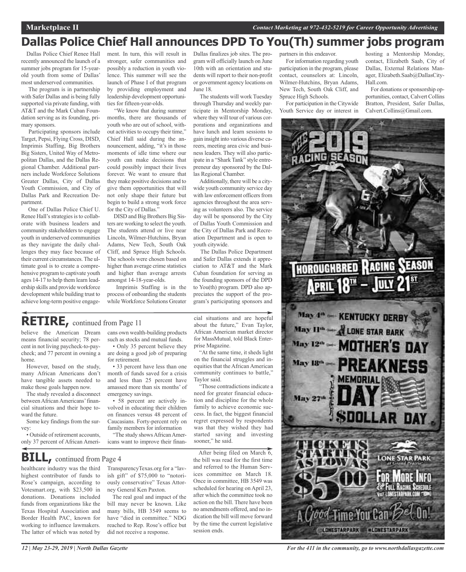## **Dallas Police Chief Hall announces DPD To You(Th) summer jobs program**

Dallas Police Chief Renee Hall recently announced the launch of a summer jobs program for 15-yearold youth from some of Dallas' most underserved communities.

The program is in partnership with Safer Dallas and is being fully supported via private funding, with AT&T and the Mark Cuban Foundation serving as its founding, primary sponsors.

Participating sponsors include Target, Pepsi, Flying Cross, DISD, Imprimis Staffing, Big Brothers Big Sisters, United Way of Metropolitan Dallas, and the Dallas Regional Chamber. Additional partners include Workforce Solutions Greater Dallas, City of Dallas Youth Commission, and City of Dallas Park and Recreation Department.

One of Dallas Police Chief U. Renee Hall's strategies is to collaborate with business leaders and community stakeholders to engage youth in underserved communities as they navigate the daily challenges they may face because of their current circumstances. The ultimate goal is to create a comprehensive program to captivate youth ages 14-17 to help them learn leadership skills and provide workforce development while building trust to achieve long-term positive engage-

ment. In turn, this will result in stronger, safer communities and possibly a reduction in youth violence. This summer will see the launch of Phase I of that program by providing employment and leadership development opportunities for fifteen-year-olds.

"We know that during summer months, there are thousands of youth who are out of school, without activities to occupy their time," Chief Hall said during the announcement, adding, "it's in those moments of idle time where our youth can make decisions that could possibly impact their lives forever. We want to ensure that they make positive decisions and to give them opportunities that will not only shape their future but begin to build a strong work force for the City of Dallas.'

DISD and Big Brothers Big Sisters are working to select the youth. The students attend or live near Lincoln, Wilmer-Hutchins, Bryan Adams, New Tech, South Oak Cliff, and Spruce High Schools. The schools were chosen based on higher than average crime statistics and higher than average arrests amongst 14-18-year-olds.

Imprimis Staffing is in the process of onboarding the students while Workforce Solutions Greater

Dallas finalizes job sites. The program will officially launch on June 10th with an orientation and students will report to their non-profit or government agency locations on June 18.

The students will work Tuesday through Thursday and weekly participate in Mentorship Monday, where they will tour of various corporations and organizations and have lunch and learn sessions to gain insight into various diverse careers, meeting area civic and business leaders. They will also participate in a "Shark Tank" style entrepreneur day sponsored by the Dallas Regional Chamber.

Additionally, there will be a citywide youth community service day with law enforcement officers from agencies throughout the area serving as volunteers also. The service day will be sponsored by the City of Dallas Youth Commission and the City of Dallas Park and Recreation Department and is open to youth citywide.

The Dallas Police Department and Safer Dallas extends it appreciation to AT&T and the Mark Cuban foundation for serving as the founding sponsors of the DPD to You(th) program. DPD also appreciates the support of the program's participating sponsors and

### **RETIRE,** continued from Page <sup>11</sup>

believe the American Dream means financial security; 78 percent in not living paycheck-to-paycheck; and 77 percent in owning a home.

However, based on the study, many African Americans don't have tangible assets needed to make those goals happen now.

The study revealed a disconnect between African Americans' financial situations and their hope toward the future.

Some key findings from the survey:

• Outside of retirement accounts, only 37 percent of African Americans own wealth-building products such as stocks and mutual funds.

• Only 35 percent believe they are doing a good job of preparing for retirement.

• 33 percent have less than one month of funds saved for a crisis and less than 25 percent have amassed more than six months' of emergency savings.

• 58 percent are actively involved in educating their children on finances versus 48 percent of Caucasians. Forty-percent rely on family members for information

"The study showsAfricanAmericans want to improve their finan-

cial situations and are hopeful about the future," Evan Taylor, African American market director for MassMutual, told Black Enterprise Magazine.

"At the same time, it sheds light on the financial struggles and inequities that the African American community continues to battle," Taylor said.

"Those contradictions indicate a need for greater financial education and discipline for the whole family to achieve economic success. In fact, the biggest financial regret expressed by respondents was that they wished they had started saving and investing sooner," he said.



healthcare industry was the third highest contributor of funds to Rose's campaign, according to Votesmart.org, with \$23,500 in donations. Donations included funds from organizations like the Texas Hospital Association and Border Health PAC, known for working to influence lawmakers. The latter of which was noted by

TransparencyTexas.org for a "lavish gift" of \$75,000 to "notoriously conservative" Texas Attorney General Ken Paxton.

The real goal and impact of the bill may never be known. Like many bills, HB 3549 seems to have "died in committee." NDG reached to Rep. Rose's office but did not receive a response.

After being filed on March 6, the bill was read for the first time and referred to the Human Services committee on March 18. Once in committee, HB 3549 was scheduled for hearing on April 23, after which the committee took no action on the bill. There have been no amendments offered, and no indication the bill will move forward by the time the current legislative session ends.

partners in this endeavor.

For information regarding youth participation in the program, please contact, counselors at: Lincoln, Wilmer-Hutchins, Bryan Adams, New Tech, South Oak Cliff, and Spruce High Schools.

For participation in the Citywide Youth Service day or interest in

hosting a Mentorship Monday, contact, Elizabeth Saab, City of Dallas, External Relations Manager, Elizabeth.Saab@DallasCity-Hall.com.

For donations or sponsorship opportunities, contact, Calvert Collins Bratton, President, Safer Dallas, Calvert.Collins@Gmail.com.



*For the 411 in the community, go to www.northdallasgazette.com*

*12 | May 23-29, 2019 | North Dallas Gazette*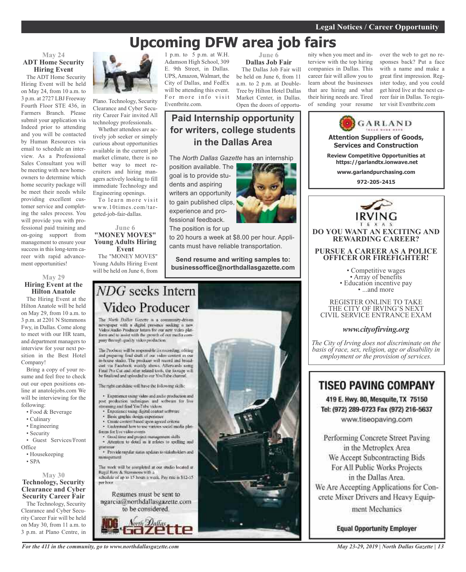## **Upcoming DFW area job fairs**

### **May 24 ADT Home Security Hiring Event** The ADT Home Security

Hiring Event will be held on May 24, from 10 a.m. to 3 p.m. at 2727 LBJ Freeway Fourth Floor STE 436, in Farmers Branch. Please submit your application via Indeed prior to attending and you will be contacted by Human Resources via email to schedule an interview. As a Professional Sales Consultant you will be meeting with new homeowners to determine which home security package will be meet their needs while providing excellent customer service and completing the sales process. You will provide you with professional paid training and on-going support from management to ensure your success in this long-term career with rapid advancement opportunities!

### **May 29 Hiring Event at the Hilton Anatole**

The Hiring Event at the Hilton Anatole will be held on May 29, from 10 a.m. to 3 p.m. at 2201 N Stemmons Fwy, in Dallas. Come along to meet with our HR team, and department managers to interview for your next position in the Best Hotel Company!

Bring a copy of your resume and feel free to check out our open positions online at anatolejobs.com We will be interviewing for the following:

- Food & Beverage
- Culinary
- Engineering
- Security

• Guest Services/Front **Office** 

- Housekeeping
- SPA

### **May 30 Technology, Security Clearance and Cyber Security Career Fair**

The Technology, Security Clearance and Cyber Security Career Fair will be held on May 30, from 11 a.m. to 3 p.m. at Plano Centre, in



Plano. Technology, Security Clearance and Cyber Security Career Fair invited All technology professionals.

Whether attendees are actively job seeker or simply curious about opportunities available in the current job market climate, there is no better way to meet recruiters and hiring managers actively looking to fill immediate Technology and Engineering openings.

To learn more visit www.10times.com/targeted-job-fair-dallas.

### **June 6 "MONEY MOVE\$" Young Adults Hiring Event**

The "MONEY MOVE\$" Young Adults Hiring Event will be held on June 6, from

1 p.m. to 5 p.m. at W.H. Adamson High School, 309 E. 9th Street, in Dallas. UPS, Amazon, Walmart, the City of Dallas, and FedEx will be attending this event. For more info visit Eventbrite.com.

**June 6 Dallas Job Fair** The Dallas Job Fair will be held on June 6, from 11 a.m. to 2 p.m. at Double-Tree by Hilton Hotel Dallas Market Center, in Dallas. Open the doors of opportu-

### **Paid Internship opportunity for writers, college students in the Dallas Area**

The *North Dallas Gazette* has an internship

position available. The goal is to provide students and aspiring writers an opportunity to gain published clips, experience and professional feedback. The position is for up



to 20 hours a week at \$8.00 per hour. Applicants must have reliable transportation.

**Send resume and writing samples to: businessoffice@northdallasgazette.com**

## NDG seeks Intern Video Producer

The North Dallas Gazette is a community-driven newspaper with a digital presence socking a new<br>Video/Audio Producer latins for our new video platform and in assist with the growth of our media company florings quality video production.

The Producer will be responsible for recording, editing and preparing final diult of our video content in our<br>in-house stadio. The producer will record and broadciat sta Facefieck weekly shows. Afterwards name Final Pro Cut and other related tools, the hostage will he finalized and uploaded to our YouTube channel.

The radii carifidate will have the following skills;

· Experience using video and malio production and post production techniques and software for live streaming and find YouTube videos.

- Experience using digital content settware
- Basic graphic design expensive
- Unite content hased upon agreed criteria · Understand how to use various social media plat-
- finges for live video events. froad time and project management shills
- · Attention to detail as it relates to spelling and

· Provide regular states updates to stakeholders and minarument

The work will be completed at our studio located at Regal Row & Stemmons with a<br>schedule of up to 15 hours a week. Pay rate is \$12-15 per hoor.

Resumes must be sent to ngarcia@northdallasgazette.com





nity when you meet and interview with the top hiring companies in Dallas. This career fair will allow you to learn about the businesses that are hiring and what their hiring needs are. Tired of sending your resume over the web to get no responses back? Put a face with a name and make a great first impression. Register today, and you could get hired live at the next career fair in Dallas. To register visit Eventbrite.com



419 E. Hwy. 80, Mesquite, TX 75150 Tel: (972) 289-0723 Fax (972) 216-5637 www.tiseopaving.com

Performing Concrete Street Paving in the Metroplex Area We Accept Subcontracting Bids For All Public Works Projects in the Dallas Area. We Are Accepting Applications for Concrete Mixer Drivers and Heavy Equipment Mechanics

**Equal Opportunity Employer**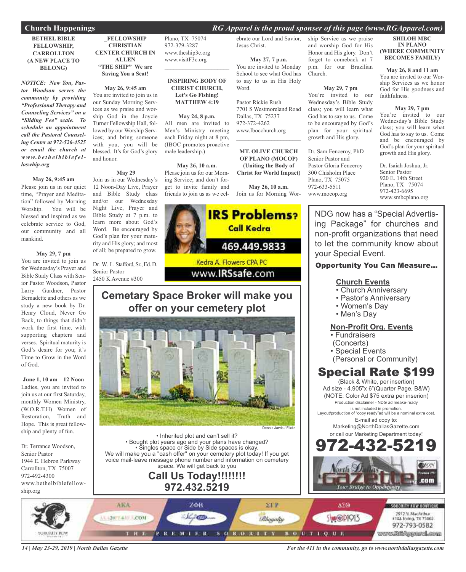### **Church Happenings** *RG Apparel is the proud sponser of this page (www.RGApparel.com)*

### **BETHEL BIBLE FELLOWSHIP, CARROLLTON (A NEW PLACE TO BELONG)**

*NOTICE: New You, Pastor Woodson serves the community by providing "Professional Therapy and Counseling Services" on a "Sliding Fee" scale. To schedule an appointment call the Pastoral Counseling Center at 972-526-4525 or email the church at www. b e t h e l b i b l e f e lloswhip.org*

### **May 26, 9:45 am**

Please join us in our quiet time, "Prayer and Meditation" followed by Morning Worship. You will be blessed and inspired as we celebrate service to God, our community and all mankind.

#### **May 29, 7 pm**

You are invited to join us for Wednesday's Prayer and Bible Study Class with Senior Pastor Woodson, Pastor Larry Gardner, Pastor Bernadette and others as we study a new book by Dr. Henry Cloud, Never Go Back, to things that didn't work the first time, with supporting chapters and verses. Spiritual maturity is God's desire for you; it's Time to Grow in the Word of God.

**June 1, 10 am – 12 Noon** Ladies, you are invited to join us at our first Saturday, monthly Women Ministry, (W.O.R.T.H) Women of Restoration, Truth and Hope. This is great fellowship and plenty of fun.

Dr. Terrance Woodson, Senior Pastor 1944 E. Hebron Parkway Carrollton, TX 75007 972-492-4300 www.bethelbiblefellowship.org

### \_**FELLOWSHIP CHRISTIAN CENTER CHURCH IN ALLEN "THE SHIP" We are Saving You a Seat!**

**May 26, 9:45 am** You are invited to join us in our Sunday Morning Services as we praise and worship God in the Joycie Turner Fellowship Hall, followed by our Worship Services; and bring someone with you, you will be blessed. It's for God's glory and honor.

### **May 29**

Join us in our Wednesday's 12 Noon-Day Live, Prayer and Bible Study class and/or our Wednesday Night Live, Prayer and Bible Study at 7 p.m. to learn more about God's Word. Be encouraged by God's plan for your maturity and His glory; and most of all; be prepared to grow.

Dr. W. L. Stafford, Sr., Ed. D. Senior Pastor 2450 K Avenue #300

Plano, TX 75074 972-379-3287 www.theship3c.org www.visitF3c.org

### **INSPIRING BODY OF CHRIST CHURCH, Let's Go Fishing! MATTHEW 4:19**

 $\overline{\phantom{a}}$  , and the set of the set of the set of the set of the set of the set of the set of the set of the set of the set of the set of the set of the set of the set of the set of the set of the set of the set of the s

#### **May 24, 8 p.m.**

All men are invited to Men's Ministry meeting each Friday night at 8 pm, (IBOC promotes proactive male leadership.)

#### **May 26, 10 a.m.**

Please join us for our Morning Service; and don't forget to invite family and friends to join us as we cel-Join us for Morning Wor-

ebrate our Lord and Savior, Jesus Christ.

**May 27, 7 p.m.** You are invited to Monday School to see what God has to say to us in His Holy Word.

Pastor Rickie Rush 7701 S Westmoreland Road Dallas, TX 75237 972-372-4262 www.Ibocchurch.org  $\mathcal{L}$  , and the set of the set of the set of the set of the set of the set of the set of the set of the set of the set of the set of the set of the set of the set of the set of the set of the set of the set of the set

**MT. OLIVE CHURCH OF PLANO (MOCOP) (Uniting the Body of Christ for World Impact)**

**May 26, 10 a.m.**



### **Cemetary Space Broker will make you offer on your cemetery plot**



• Inherited plot and can't sell it? • Bought plot years ago and your plans have changed? • Singles space or Side by Side spaces is okay. We will make you a "cash offer" on your cemetery plot today! If you get voice mail-leave message phone number and information on cemetery space. We will get back to you

### **Call Us Today!!!!!!!! 972.432.5219**

ship Service as we praise and worship God for His Honor and His glory. Don't forget to comeback at 7 p.m. for our Brazilian Church.

#### **May 29, 7 pm**

You're invited to our Wednesday's Bible Study class; you will learn what God has to say to us. Come to be encouraged by God's plan for your spiritual growth and His glory.

Dr. Sam Fenceroy, PhD Senior Pastor and Pastor Gloria Fenceroy 300 Chisholm Place Plano, TX 75075 972-633-5511 www.mocop.org

### **SHILOH MBC IN PLANO (WHERE COMMUNITY BECOMES FAMILY)**

**May 26, 8 and 11 am** You are invited to our Worship Services as we honor God for His goodness and faithfulness.

**May 29, 7 pm** You're invited to our Wednesday's Bible Study class; you will learn what God has to say to us. Come and be encouraged by God's plan for your spiritual growth and His glory.

Dr. Isaiah Joshua, Jr. Senior Pastor 920 E. 14th Street Plano, TX 75074 972-423-6695 www.smbcplano.org

NDG now has a "Special Advertising Package" for churches and non-profit organizations that need to let the community know about your Special Event.

### Opportunity You Can Measure...

### **Church Events**

- Church Anniversary
- Pastor's Anniversary
- Women's Day
- Men's Day

### **Non-Profit Org. Events**

- Fundraisers
- (Concerts)
- Special Events
- (Personal or Community)

### Special Rate \$199

(Black & White, per insertion) Ad size - 4.905"x 6"(Quarter Page, B&W) (NOTE: Color Ad \$75 extra per inserion) Production disclaimer - NDG ad meake-ready is not included in promotion.

Layout/production of "copy ready"ad will be a nominal extra cost. E-mail ad copy to:

> Marketing@NorthDallasGazette.com or call our Marketing Department today!





*14 | May 23-29, 2019 | North Dallas Gazette*

*For the 411 in the community, go to www.northdallasgazette.com*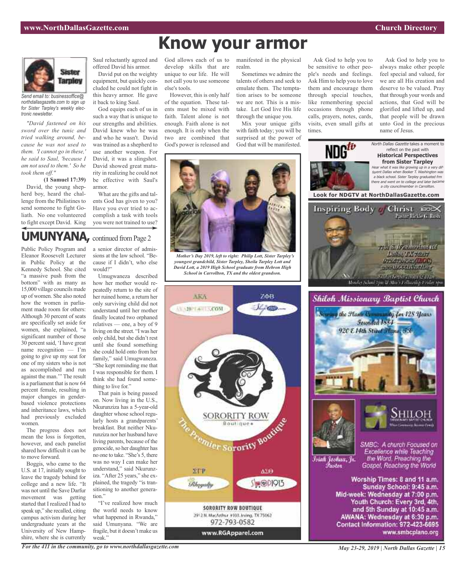name of Jesus.

Ask God to help you to always make other people feel special and valued, for we are all His creation and deserve to be valued. Pray that through your words and actions, that God will be glorified and lifted up, and that people will be drawn unto God in the precious

Ask God to help you to be sensitive to other people's needs and feelings. Ask Him to help you to love them and encourage them through special touches, like remembering special occasions through phone calls, prayers, notes, cards, visits, even small gifts at

times.



*Send email to: businessoffice@ northdallasgazette.com to sign up for Sister Tarpley's weekly electronic newsletter.*

*"David fastened on his sword over the tunic and tried walking around, because he was not used to them. 'I cannot go in these,' he said to Saul, 'because I am not used to them.' So he took them off."*

**(1 Samuel 17:39)** David, the young shepherd boy, heard the challenge from the Philistines to send someone to fight Goliath. No one volunteered to fight except David. King

bottom" with as many as 15,000 village councils made up of women. She also noted how the women in parliament made room for others: Although 30 percent of seats are specifically set aside for women, she explained, "a significant number of those 30 percent said, 'I have great name recognition — I'm going to give up my seat for one of my sisters who is not as accomplished and run against the man.'" The result is a parliament that is now 64 percent female, resulting in major changes in genderbased violence protections and inheritance laws, which had previously excluded

women.

to move forward.

The progress does not mean the loss is forgotten, however, and each panelist shared how difficult it can be

Boggis, who came to the U.S. at 17, initially sought to leave the tragedy behind for college and a new life. "It was not until the Save Darfur movement was getting started that I realized I had to speak up," she recalled, citing campus activism during her undergraduate years at the University of New Hampshire, where she is currently

Saul reluctantly agreed and offered David his armor.

David put on the weighty equipment, but quickly concluded he could not fight in this heavy armor. He gave it back to king Saul.

God equips each of us in such a way that is unique to our strengths and abilities. David knew who he was and who he wasn't. David was trained as a shepherd to use another weapon. For David, it was a slingshot. David showed great maturity in realizing he could not be effective with Saul's armor.

What are the gifts and talents God has given to you? Have you ever tried to accomplish a task with tools you were not trained to use?

### **UMUNYANA**, continued from Page 2

Public Policy Program and Eleanor Roosevelt Lecturer in Public Policy at the Kennedy School. She cited "a massive push from the a senior director of admissions at the law school. "Because if I didn't, who else would?" Umugwaneza described

how her mother would repeatedly return to the site of her ruined home, a return her only surviving child did not understand until her mother finally located two orphaned relatives — one, a boy of 9 living on the street. "I was her only child, butshe didn't rest until she found something she could hold onto from her family," said Umugwaneza. "She kept reminding me that I was responsible for them. I think she had found something to live for."

That pain is being passed on. Now living in the U.S., Nkurunziza has a 5-year-old daughter whose school regularly hosts a grandparents' breakfast. But neither Nkurunziza nor her husband have living parents, because of the genocide, so her daughter has no one to take. "She's 5, there was no way I can make her understand," said Nkurunziza. "After 25 years," she explained, the tragedy "is transitioning to another generation."

"I've realized how much the world needs to know what happened in Rwanda," said Umunyana. "We are fragile, but it doesn't make us weak."

God allows each of us to develop skills that are unique to our life. He will not call you to use someone else's tools.

However, this is only half of the equation. These talents must be mixed with faith. Talent alone is not enough. Faith alone is not enough. It is only when the two are combined that God's power is released and

manifested in the physical realm.

Sometimes we admire the talents of others and seek to emulate them. The temptation arises to be someone we are not. This is a mistake. Let God live His life through the unique you.

Mix your unique gifts with faith today; you will be surprised at the power of God that will be manifested.



**Know your armor**

*Mother's Day 2019, left to right: Philip Lott, Sister Tarpley's youngest grandchild, Sister Tarpley, Sheila Tarpley Lott and David Lott, a 2019 High School graduate from Hebron High School in Carrollton, TX and the oldest grandson.*



NDG<sup>tu</sup> North Dallas Gazette takes a moment to reflect on the past with **Historical Perspectives from Sister Tarpley** Hear what it was like growing up in <sup>a</sup> very different Dallas when Booker T. Washington was <sup>a</sup> black school. Sister Tarpley graduated frm there and went on to college and later became <sup>a</sup> city councilmember in Carrollton. **Look for NDGTV at NorthDallasGazette.com** Inspiring Body Christ 200X Pasto - Rickie G. Bush 791 S. W. Amerikal 161. **Luther TX 75297 UPACTA-HANA(ILOC) STERN INSTITUTION** .<br>Monter School (por & Mor Gellandog Leider sp.<br>Monter School (por & Mor Gellandog Leider sp. Shiloh Missionary Baptist Church way the Hans Community for 128 Years Founded 1884 920 E 14th Street France, 73 Shiloi SMBC: A church Focused on Excellence while Teaching Istah Joshua, Jr. the Word. Preaching the *Pastar* Gospel, Reaching the World Worship Times: 8 and 11 a.m. Sunday School: 9:45 a.m. Mid-week: Wednesday at 7:00 p.m. Youth Church: Every 3rd, 4th, and 5th Sunday at 10:45 a.m. AWANA: Wednesday at 6:30 p.m. Contact Information: 972-423-6695

www.smbcplano.org



*For the 411 in the community, go to www.northdallasgazette.com*